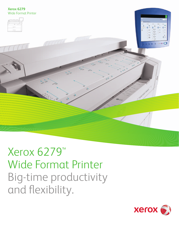

# Xerox 6279™ Wide Format Printer Big-time productivity and flexibility.

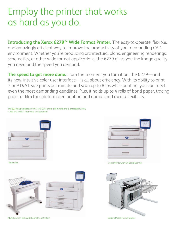## Employ the printer that works as hard as you do.

**Introducing the Xerox 6279™ Wide Format Printer.** The easy-to-operate, flexible, and amazingly efficient way to improve the productivity of your demanding CAD environment. Whether you're producing architectural plans, engineering renderings, schematics, or other wide format applications, the 6279 gives you the image quality you need and the speed you demand.

**The speed to get more done.** From the moment you turn it on, the 6279—and its new, intuitive color user interface—is all about efficiency. With its ability to print 7 or 9 D/A1-size prints per minute and scan up to 8 ips while printing, you can meet even the most demanding deadlines. Plus, it holds up to 4 rolls of bond paper, tracing paper or film for uninterrupted printing and unmatched media flexibility.

The 6279 is upgradeable from 7 to 9 D/A1 prints- per-minute and is available in 2-Roll, 4-Roll, or 2-Roll/2-Tray media configurations.





Multi-Function with Wide Format Scan System Optional Wide Format Stacker



Printer only Copier/Printer with On-Board Scanner

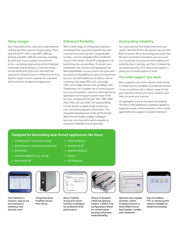## **Sharp images.**

Your important prints, scans and copies deserve nothing less than superior image quality. That's why the 6279™ offers crisp 600 x 600 dpi printing and 600 x 600 dpi scanning capability. So even your most complex monochrome prints—including engineering and architectural renderings and schematics—can have sharp, precise detail print after print. And with the optional On-Board Scanner or Wide Format Scan System, copies of worn originals are improved with automatic background suppression.

## **Enhanced flexibility.**

With a wide range of configuration optionsincluding Printer-only and Copier/Printer with monochrome scanning that is upgradeable to color—and its integrated Xerox FreeFlow® Accxes<sup>®</sup> Print Server, the 6279 is designed to fit seamlessly into any workflow. To protect your investment, the software and equipment are field-upgradeable, so your system can grow with your business. By adding the optional scan-to-net key, you can add additional versatility, such as scanning multi-page PDFs and multi-page TIFFs, and enable remote color workflows with TotalAccxess. Its complete set of drivers ensures you can print graphics, business and engineering applications and support a wide range of file formats, including PostScript®, PDF, DWF, BMP, JPEG, PNG, GIF and DGN. The optional Wide Format Stacker enables longer production runs, minimizing operator intervention. The integrated development of the 6279 and the Wide Format Stacker enables intelligent two-way communication which equates to maximum reliability and productivity.

## **Outstanding reliability.**

You need a printer that works every time you need it. And the 6279 is designed to do just that. Built on proven Xerox technology and more than 50 years of product innovation, you can count on it to provide uncompromised durability and reliability day in and day out. Plus, it's backed by our award-winning, 24/7 service and support giving you increased peace of mind.

## **The total support you need.**

Xerox supports your entire solution, from printer to media and consumables. A worldwide network of service professionals is always ready to help you make the most of your Xerox solution, and help you grow your business.

Our guarantee is one of the best in the industry. The Xerox Total Satisfaction Guarantee applies to equipment under a Xerox warranty or Xerox service agreement and is subject to certain restrictions.

## **Designed for demanding wide format applications like these:**

- Architectural or construction plans
- Architectural or engineering renderings
- Schematics
- Electrical diagrams (e.g., wiring)
- Mechanical 2D
- Solids modeling
- Mechanical 3D
- Scientific/Medical
- **Seismic**
- GIS/Mapping



**User interface is intuitive, easy-to-use and interactive, enabling a fast learning curve.**



**Integrated Xerox FreeFlow Accxes Print Server.**

|                                          |                                                 |                                  | Prever Liabs   Gasphire   Rendering   Device Options   About |  |
|------------------------------------------|-------------------------------------------------|----------------------------------|--------------------------------------------------------------|--|
| collosteri mechi sipic<br>Lettershirt AL |                                                 |                                  | <b>MSASSAS</b>                                               |  |
| Media bow                                |                                                 | <b>Dowld</b>                     |                                                              |  |
| <b>FEE ESSIN</b>                         |                                                 | <b>Company Advised Associate</b> |                                                              |  |
|                                          | <b>Dunca</b><br><b><i><u>Linderwick</u></i></b> |                                  |                                                              |  |
| Oppy pount                               |                                                 |                                  |                                                              |  |
|                                          | Motor & Anticoto                                |                                  |                                                              |  |

**Xerox FreeFlow Accxes print driver interface is designed for production-level performance.**



**Choice of standard 2-Roll and optional 4-Roll or 2-Roll/2-Tray**  configurations allows **for uninterrupted printing and greater**  media flexibility.



**Optional color-capable scanners—either On-Board Scanner or Xerox Wide Format Scan System—enable**  color workflows.



**Scan-to-mailbox, FTP, or remote printer options available for added functionality.**